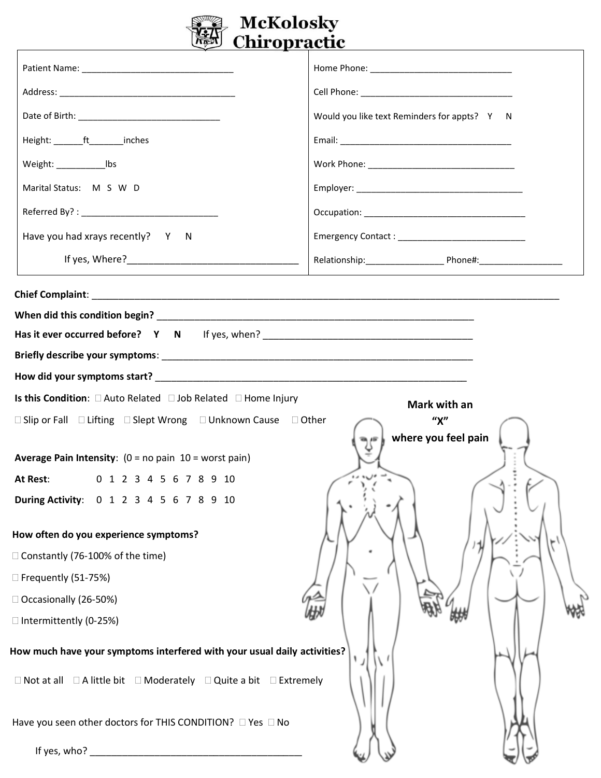

|                                                                                             | Would you like text Reminders for appts? Y N |  |  |  |
|---------------------------------------------------------------------------------------------|----------------------------------------------|--|--|--|
| Height: _______ft________inches                                                             |                                              |  |  |  |
| Weight: ________________________  bs                                                        |                                              |  |  |  |
| Marital Status: M S W D                                                                     |                                              |  |  |  |
|                                                                                             |                                              |  |  |  |
| Have you had xrays recently? Y N                                                            |                                              |  |  |  |
|                                                                                             |                                              |  |  |  |
|                                                                                             |                                              |  |  |  |
|                                                                                             |                                              |  |  |  |
| Has it ever occurred before? Y N If yes, when? __________________________________           |                                              |  |  |  |
|                                                                                             |                                              |  |  |  |
|                                                                                             |                                              |  |  |  |
| Is this Condition: □ Auto Related □ Job Related □ Home Injury<br>Mark with an               |                                              |  |  |  |
| $\Box$ Slip or Fall $\Box$ Lifting $\Box$ Slept Wrong $\Box$ Unknown Cause $\Box$ Other     | ''X''<br>where you feel pain                 |  |  |  |
| <b>Average Pain Intensity:</b> $(0 = no pain 10 = worst pain)$                              |                                              |  |  |  |
| 0 1 2 3 4 5 6 7 8 9 10<br>At Rest:                                                          |                                              |  |  |  |
| During Activity: 0 1 2 3 4 5 6 7 8 9 10                                                     |                                              |  |  |  |
| How often do you experience symptoms?                                                       |                                              |  |  |  |
| □ Constantly (76-100% of the time)                                                          |                                              |  |  |  |
| □ Frequently (51-75%)                                                                       |                                              |  |  |  |
| □ Occasionally (26-50%)                                                                     |                                              |  |  |  |
| □ Intermittently (0-25%)                                                                    |                                              |  |  |  |
| How much have your symptoms interfered with your usual daily activities?                    |                                              |  |  |  |
| $\Box$ Not at all $\Box$ A little bit $\Box$ Moderately $\Box$ Quite a bit $\Box$ Extremely |                                              |  |  |  |
| Have you seen other doctors for THIS CONDITION? □ Yes □ No                                  |                                              |  |  |  |
|                                                                                             |                                              |  |  |  |